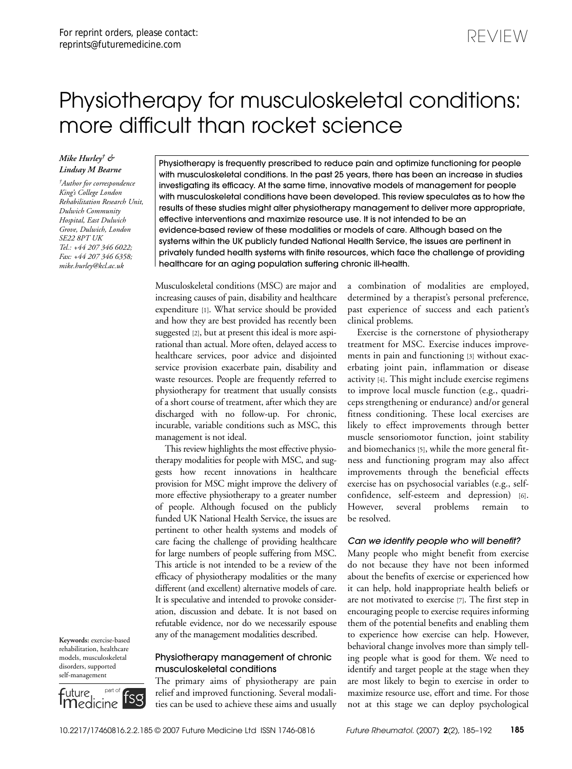# Physiotherapy for musculoskeletal conditions: more difficult than rocket science

healthcare for an aging population suffering chronic ill-health.

# *Mike Hurley† & Lindsay M Bearne*

*†Author for correspondence King's College London Rehabilitation Research Unit, Dulwich Community Hospital, East Dulwich Grove, Dulwich, London SE22 8PT UK Tel.: +44 207 346 6022; Fax: +44 207 346 6358; mike.hurley@kcl.ac.uk*

Physiotherapy is frequently prescribed to reduce pain and optimize functioning for people with musculoskeletal conditions. In the past 25 years, there has been an increase in studies investigating its efficacy. At the same time, innovative models of management for people with musculoskeletal conditions have been developed. This review speculates as to how the results of these studies might alter physiotherapy management to deliver more appropriate, effective interventions and maximize resource use. It is not intended to be an evidence-based review of these modalities or models of care. Although based on the systems within the UK publicly funded National Health Service, the issues are pertinent in privately funded health systems with finite resources, which face the challenge of providing

Musculoskeletal conditions (MSC) are major and increasing causes of pain, disability and healthcare expenditure [1]. What service should be provided and how they are best provided has recently been suggested [2], but at present this ideal is more aspirational than actual. More often, delayed access to healthcare services, poor advice and disjointed service provision exacerbate pain, disability and waste resources. People are frequently referred to physiotherapy for treatment that usually consists of a short course of treatment, after which they are discharged with no follow-up. For chronic, incurable, variable conditions such as MSC, this management is not ideal.

This review highlights the most effective physiotherapy modalities for people with MSC, and suggests how recent innovations in healthcare provision for MSC might improve the delivery of more effective physiotherapy to a greater number of people. Although focused on the publicly funded UK National Health Service, the issues are pertinent to other health systems and models of care facing the challenge of providing healthcare for large numbers of people suffering from MSC. This article is not intended to be a review of the efficacy of physiotherapy modalities or the many different (and excellent) alternative models of care. It is speculative and intended to provoke consideration, discussion and debate. It is not based on refutable evidence, nor do we necessarily espouse any of the management modalities described.

# Physiotherapy management of chronic musculoskeletal conditions

The primary aims of physiotherapy are pain relief and improved functioning. Several modalities can be used to achieve these aims and usually a combination of modalities are employed, determined by a therapist's personal preference, past experience of success and each patient's clinical problems.

REVIEW

Exercise is the cornerstone of physiotherapy treatment for MSC. Exercise induces improvements in pain and functioning [3] without exacerbating joint pain, inflammation or disease activity [4]. This might include exercise regimens to improve local muscle function (e.g., quadriceps strengthening or endurance) and/or general fitness conditioning. These local exercises are likely to effect improvements through better muscle sensoriomotor function, joint stability and biomechanics [5], while the more general fitness and functioning program may also affect improvements through the beneficial effects exercise has on psychosocial variables (e.g., selfconfidence, self-esteem and depression) [6]. However, several problems remain to be resolved.

## *Can we identify people who will benefit?*

Many people who might benefit from exercise do not because they have not been informed about the benefits of exercise or experienced how it can help, hold inappropriate health beliefs or are not motivated to exercise [7]. The first step in encouraging people to exercise requires informing them of the potential benefits and enabling them to experience how exercise can help. However, behavioral change involves more than simply telling people what is good for them. We need to identify and target people at the stage when they are most likely to begin to exercise in order to maximize resource use, effort and time. For those not at this stage we can deploy psychological

**Keywords:** exercise-based rehabilitation, healthcare models, musculoskeletal disorders, supported self-management

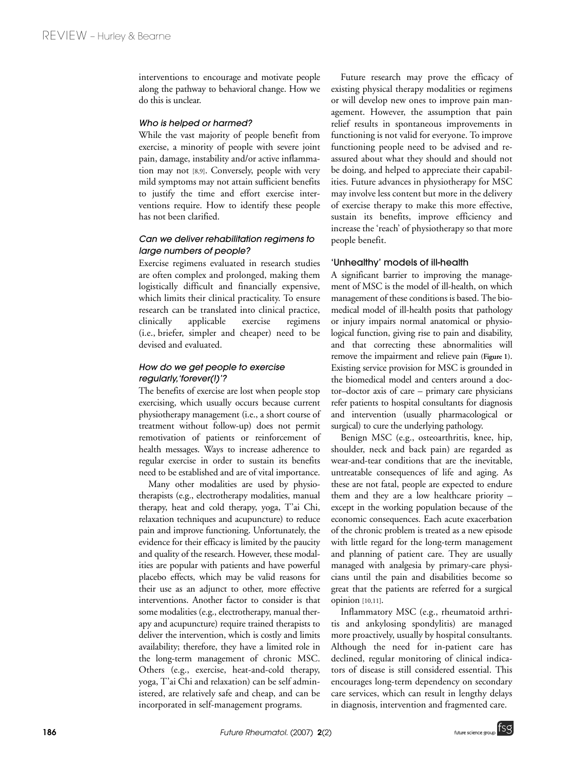interventions to encourage and motivate people along the pathway to behavioral change. How we do this is unclear.

#### *Who is helped or harmed?*

While the vast majority of people benefit from exercise, a minority of people with severe joint pain, damage, instability and/or active inflammation may not [8,9]. Conversely, people with very mild symptoms may not attain sufficient benefits to justify the time and effort exercise interventions require. How to identify these people has not been clarified.

# *Can we deliver rehabilitation regimens to large numbers of people?*

Exercise regimens evaluated in research studies are often complex and prolonged, making them logistically difficult and financially expensive, which limits their clinical practicality. To ensure research can be translated into clinical practice, clinically applicable exercise regimens (i.e., briefer, simpler and cheaper) need to be devised and evaluated.

# *How do we get people to exercise regularly,'forever(!)'?*

The benefits of exercise are lost when people stop exercising, which usually occurs because current physiotherapy management (i.e., a short course of treatment without follow-up) does not permit remotivation of patients or reinforcement of health messages. Ways to increase adherence to regular exercise in order to sustain its benefits need to be established and are of vital importance.

Many other modalities are used by physiotherapists (e.g., electrotherapy modalities, manual therapy, heat and cold therapy, yoga, T'ai Chi, relaxation techniques and acupuncture) to reduce pain and improve functioning. Unfortunately, the evidence for their efficacy is limited by the paucity and quality of the research. However, these modalities are popular with patients and have powerful placebo effects, which may be valid reasons for their use as an adjunct to other, more effective interventions. Another factor to consider is that some modalities (e.g., electrotherapy, manual therapy and acupuncture) require trained therapists to deliver the intervention, which is costly and limits availability; therefore, they have a limited role in the long-term management of chronic MSC. Others (e.g., exercise, heat-and-cold therapy, yoga, T'ai Chi and relaxation) can be self administered, are relatively safe and cheap, and can be incorporated in self-management programs.

Future research may prove the efficacy of existing physical therapy modalities or regimens or will develop new ones to improve pain management. However, the assumption that pain relief results in spontaneous improvements in functioning is not valid for everyone. To improve functioning people need to be advised and reassured about what they should and should not be doing, and helped to appreciate their capabilities. Future advances in physiotherapy for MSC may involve less content but more in the delivery of exercise therapy to make this more effective, sustain its benefits, improve efficiency and increase the 'reach' of physiotherapy so that more people benefit.

#### 'Unhealthy' models of ill-health

A significant barrier to improving the management of MSC is the model of ill-health, on which management of these conditions is based. The biomedical model of ill-health posits that pathology or injury impairs normal anatomical or physiological function, giving rise to pain and disability, and that correcting these abnormalities will remove the impairment and relieve pain **(Figure 1)**. Existing service provision for MSC is grounded in the biomedical model and centers around a doctor–doctor axis of care – primary care physicians refer patients to hospital consultants for diagnosis and intervention (usually pharmacological or surgical) to cure the underlying pathology.

Benign MSC (e.g., osteoarthritis, knee, hip, shoulder, neck and back pain) are regarded as wear-and-tear conditions that are the inevitable, untreatable consequences of life and aging. As these are not fatal, people are expected to endure them and they are a low healthcare priority – except in the working population because of the economic consequences. Each acute exacerbation of the chronic problem is treated as a new episode with little regard for the long-term management and planning of patient care. They are usually managed with analgesia by primary-care physicians until the pain and disabilities become so great that the patients are referred for a surgical opinion [10,11].

Inflammatory MSC (e.g., rheumatoid arthritis and ankylosing spondylitis) are managed more proactively, usually by hospital consultants. Although the need for in-patient care has declined, regular monitoring of clinical indicators of disease is still considered essential. This encourages long-term dependency on secondary care services, which can result in lengthy delays in diagnosis, intervention and fragmented care.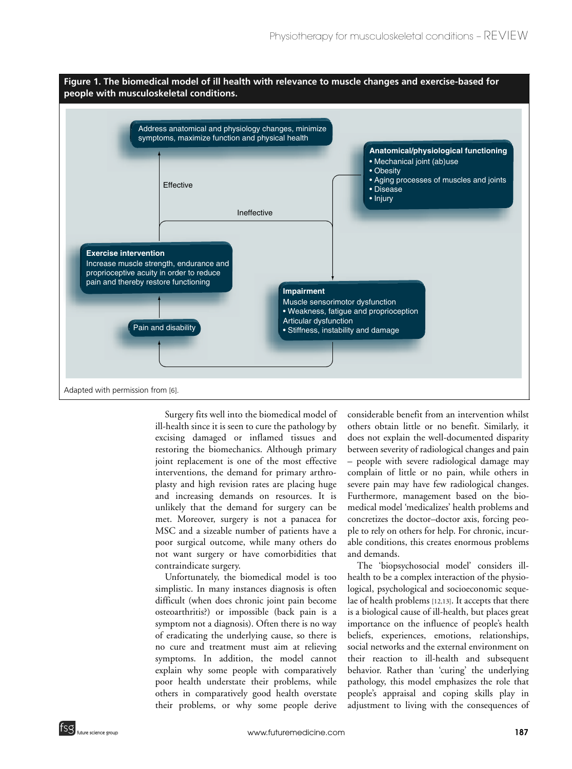

Surgery fits well into the biomedical model of ill-health since it is seen to cure the pathology by excising damaged or inflamed tissues and restoring the biomechanics. Although primary joint replacement is one of the most effective interventions, the demand for primary arthroplasty and high revision rates are placing huge and increasing demands on resources. It is unlikely that the demand for surgery can be met. Moreover, surgery is not a panacea for MSC and a sizeable number of patients have a poor surgical outcome, while many others do not want surgery or have comorbidities that contraindicate surgery.

Unfortunately, the biomedical model is too simplistic. In many instances diagnosis is often difficult (when does chronic joint pain become osteoarthritis?) or impossible (back pain is a symptom not a diagnosis). Often there is no way of eradicating the underlying cause, so there is no cure and treatment must aim at relieving symptoms. In addition, the model cannot explain why some people with comparatively poor health understate their problems, while others in comparatively good health overstate their problems, or why some people derive

considerable benefit from an intervention whilst others obtain little or no benefit. Similarly, it does not explain the well-documented disparity between severity of radiological changes and pain – people with severe radiological damage may complain of little or no pain, while others in severe pain may have few radiological changes. Furthermore, management based on the biomedical model 'medicalizes' health problems and concretizes the doctor–doctor axis, forcing people to rely on others for help. For chronic, incurable conditions, this creates enormous problems and demands.

The 'biopsychosocial model' considers illhealth to be a complex interaction of the physiological, psychological and socioeconomic sequelae of health problems [12,13]. It accepts that there is a biological cause of ill-health, but places great importance on the influence of people's health beliefs, experiences, emotions, relationships, social networks and the external environment on their reaction to ill-health and subsequent behavior. Rather than 'curing' the underlying pathology, this model emphasizes the role that people's appraisal and coping skills play in adjustment to living with the consequences of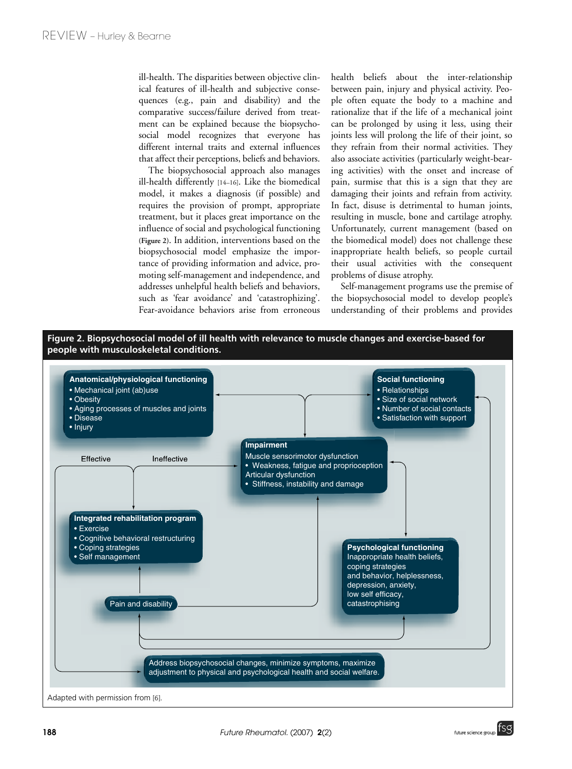ill-health. The disparities between objective clinical features of ill-health and subjective consequences (e.g., pain and disability) and the comparative success/failure derived from treatment can be explained because the biopsychosocial model recognizes that everyone has different internal traits and external influences that affect their perceptions, beliefs and behaviors.

The biopsychosocial approach also manages ill-health differently [14–16]. Like the biomedical model, it makes a diagnosis (if possible) and requires the provision of prompt, appropriate treatment, but it places great importance on the influence of social and psychological functioning **(Figure 2)**. In addition, interventions based on the biopsychosocial model emphasize the importance of providing information and advice, promoting self-management and independence, and addresses unhelpful health beliefs and behaviors, such as 'fear avoidance' and 'catastrophizing'. Fear-avoidance behaviors arise from erroneous

health beliefs about the inter-relationship between pain, injury and physical activity. People often equate the body to a machine and rationalize that if the life of a mechanical joint can be prolonged by using it less, using their joints less will prolong the life of their joint, so they refrain from their normal activities. They also associate activities (particularly weight-bearing activities) with the onset and increase of pain, surmise that this is a sign that they are damaging their joints and refrain from activity. In fact, disuse is detrimental to human joints, resulting in muscle, bone and cartilage atrophy. Unfortunately, current management (based on the biomedical model) does not challenge these inappropriate health beliefs, so people curtail their usual activities with the consequent problems of disuse atrophy.

Self-management programs use the premise of the biopsychosocial model to develop people's understanding of their problems and provides



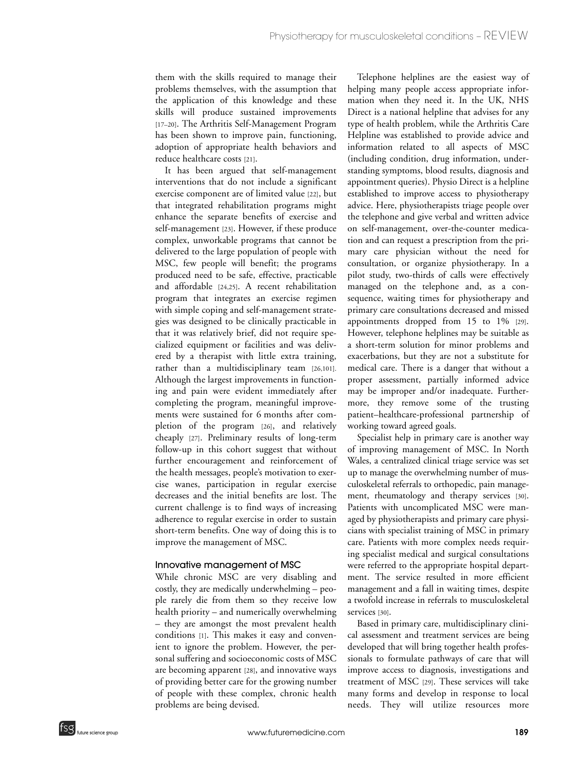them with the skills required to manage their problems themselves, with the assumption that the application of this knowledge and these skills will produce sustained improvements [17-20]. The Arthritis Self-Management Program has been shown to improve pain, functioning, adoption of appropriate health behaviors and reduce healthcare costs [21].

It has been argued that self-management interventions that do not include a significant exercise component are of limited value [22], but that integrated rehabilitation programs might enhance the separate benefits of exercise and self-management [23]. However, if these produce complex, unworkable programs that cannot be delivered to the large population of people with MSC, few people will benefit; the programs produced need to be safe, effective, practicable and affordable [24,25]. A recent rehabilitation program that integrates an exercise regimen with simple coping and self-management strategies was designed to be clinically practicable in that it was relatively brief, did not require specialized equipment or facilities and was delivered by a therapist with little extra training, rather than a multidisciplinary team [26,101]. Although the largest improvements in functioning and pain were evident immediately after completing the program, meaningful improvements were sustained for 6 months after completion of the program [26], and relatively cheaply [27]. Preliminary results of long-term follow-up in this cohort suggest that without further encouragement and reinforcement of the health messages, people's motivation to exercise wanes, participation in regular exercise decreases and the initial benefits are lost. The current challenge is to find ways of increasing adherence to regular exercise in order to sustain short-term benefits. One way of doing this is to improve the management of MSC.

# Innovative management of MSC

While chronic MSC are very disabling and costly, they are medically underwhelming – people rarely die from them so they receive low health priority – and numerically overwhelming – they are amongst the most prevalent health conditions [1]. This makes it easy and convenient to ignore the problem. However, the personal suffering and socioeconomic costs of MSC are becoming apparent [28], and innovative ways of providing better care for the growing number of people with these complex, chronic health problems are being devised.

Telephone helplines are the easiest way of helping many people access appropriate information when they need it. In the UK, NHS Direct is a national helpline that advises for any type of health problem, while the Arthritis Care Helpline was established to provide advice and information related to all aspects of MSC (including condition, drug information, understanding symptoms, blood results, diagnosis and appointment queries). Physio Direct is a helpline established to improve access to physiotherapy advice. Here, physiotherapists triage people over the telephone and give verbal and written advice on self-management, over-the-counter medication and can request a prescription from the primary care physician without the need for consultation, or organize physiotherapy. In a pilot study, two-thirds of calls were effectively managed on the telephone and, as a consequence, waiting times for physiotherapy and primary care consultations decreased and missed appointments dropped from 15 to 1% [29]. However, telephone helplines may be suitable as a short-term solution for minor problems and exacerbations, but they are not a substitute for medical care. There is a danger that without a proper assessment, partially informed advice may be improper and/or inadequate. Furthermore, they remove some of the trusting patient–healthcare-professional partnership of working toward agreed goals.

Specialist help in primary care is another way of improving management of MSC. In North Wales, a centralized clinical triage service was set up to manage the overwhelming number of musculoskeletal referrals to orthopedic, pain management, rheumatology and therapy services [30]. Patients with uncomplicated MSC were managed by physiotherapists and primary care physicians with specialist training of MSC in primary care. Patients with more complex needs requiring specialist medical and surgical consultations were referred to the appropriate hospital department. The service resulted in more efficient management and a fall in waiting times, despite a twofold increase in referrals to musculoskeletal services [30].

Based in primary care, multidisciplinary clinical assessment and treatment services are being developed that will bring together health professionals to formulate pathways of care that will improve access to diagnosis, investigations and treatment of MSC [29]. These services will take many forms and develop in response to local needs. They will utilize resources more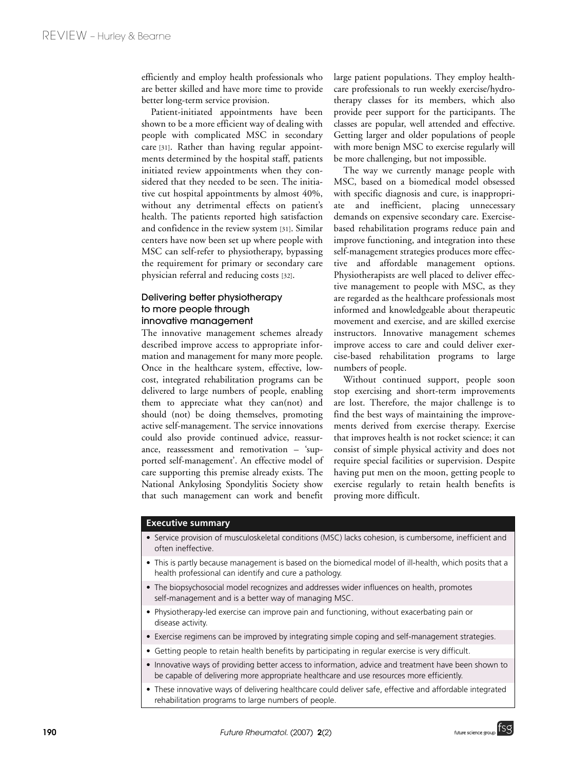efficiently and employ health professionals who are better skilled and have more time to provide better long-term service provision.

Patient-initiated appointments have been shown to be a more efficient way of dealing with people with complicated MSC in secondary care [31]. Rather than having regular appointments determined by the hospital staff, patients initiated review appointments when they considered that they needed to be seen. The initiative cut hospital appointments by almost 40%, without any detrimental effects on patient's health. The patients reported high satisfaction and confidence in the review system [31]. Similar centers have now been set up where people with MSC can self-refer to physiotherapy, bypassing the requirement for primary or secondary care physician referral and reducing costs [32].

# Delivering better physiotherapy to more people through innovative management

The innovative management schemes already described improve access to appropriate information and management for many more people. Once in the healthcare system, effective, lowcost, integrated rehabilitation programs can be delivered to large numbers of people, enabling them to appreciate what they can(not) and should (not) be doing themselves, promoting active self-management. The service innovations could also provide continued advice, reassurance, reassessment and remotivation – 'supported self-management'. An effective model of care supporting this premise already exists. The National Ankylosing Spondylitis Society show that such management can work and benefit

large patient populations. They employ healthcare professionals to run weekly exercise/hydrotherapy classes for its members, which also provide peer support for the participants. The classes are popular, well attended and effective. Getting larger and older populations of people with more benign MSC to exercise regularly will be more challenging, but not impossible.

The way we currently manage people with MSC, based on a biomedical model obsessed with specific diagnosis and cure, is inappropriate and inefficient, placing unnecessary demands on expensive secondary care. Exercisebased rehabilitation programs reduce pain and improve functioning, and integration into these self-management strategies produces more effective and affordable management options. Physiotherapists are well placed to deliver effective management to people with MSC, as they are regarded as the healthcare professionals most informed and knowledgeable about therapeutic movement and exercise, and are skilled exercise instructors. Innovative management schemes improve access to care and could deliver exercise-based rehabilitation programs to large numbers of people.

Without continued support, people soon stop exercising and short-term improvements are lost. Therefore, the major challenge is to find the best ways of maintaining the improvements derived from exercise therapy. Exercise that improves health is not rocket science; it can consist of simple physical activity and does not require special facilities or supervision. Despite having put men on the moon, getting people to exercise regularly to retain health benefits is proving more difficult.

## **Executive summary**

- Service provision of musculoskeletal conditions (MSC) lacks cohesion, is cumbersome, inefficient and often ineffective.
- This is partly because management is based on the biomedical model of ill-health, which posits that a health professional can identify and cure a pathology.
- The biopsychosocial model recognizes and addresses wider influences on health, promotes self-management and is a better way of managing MSC.
- Physiotherapy-led exercise can improve pain and functioning, without exacerbating pain or disease activity.
- Exercise regimens can be improved by integrating simple coping and self-management strategies.
- Getting people to retain health benefits by participating in regular exercise is very difficult.
- Innovative ways of providing better access to information, advice and treatment have been shown to be capable of delivering more appropriate healthcare and use resources more efficiently.
- These innovative ways of delivering healthcare could deliver safe, effective and affordable integrated rehabilitation programs to large numbers of people.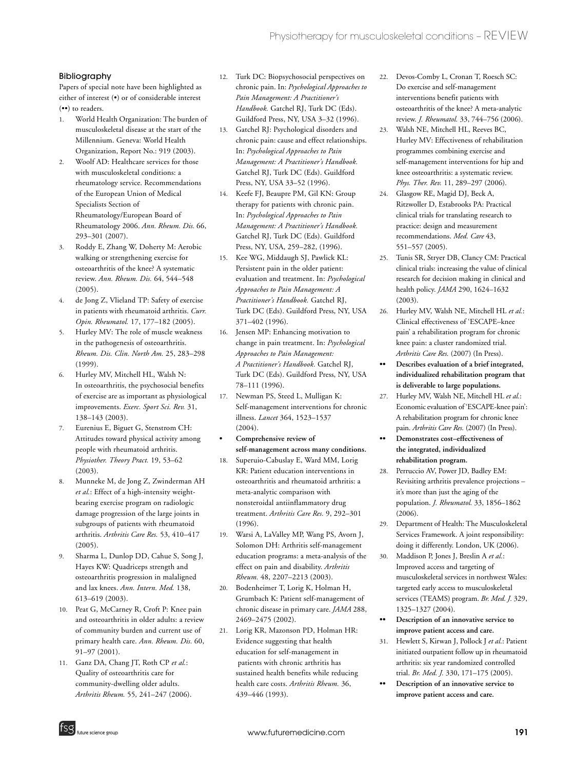# Bibliography

Papers of special note have been highlighted as either of interest (•) or of considerable interest (••) to readers.

- 1. World Health Organization: The burden of musculoskeletal disease at the start of the Millennium. Geneva: World Health Organization, Report No.: 919 (2003).
- 2. Woolf AD: Healthcare services for those with musculoskeletal conditions: a rheumatology service. Recommendations of the European Union of Medical Specialists Section of Rheumatology/European Board of Rheumatology 2006. *Ann. Rheum. Dis.* 66, 293–301 (2007).
- 3. Roddy E, Zhang W, Doherty M: Aerobic walking or strengthening exercise for osteoarthritis of the knee? A systematic review. *Ann. Rheum. Dis.* 64, 544–548 (2005).
- 4. de Jong Z, Vlieland TP: Safety of exercise in patients with rheumatoid arthritis. *Curr. Opin. Rheumatol.* 17, 177–182 (2005).
- 5. Hurley MV: The role of muscle weakness in the pathogenesis of osteoarthritis. *Rheum. Dis. Clin. North Am.* 25, 283–298 (1999).
- 6. Hurley MV, Mitchell HL, Walsh N: In osteoarthritis, the psychosocial benefits of exercise are as important as physiological improvements. *Exerc. Sport Sci. Rev.* 31, 138–143 (2003).
- 7. Eurenius E, Biguet G, Stenstrom CH: Attitudes toward physical activity among people with rheumatoid arthritis. *Physiother. Theory Pract.* 19, 53–62 (2003).
- 8. Munneke M, de Jong Z, Zwinderman AH *et al.*: Effect of a high-intensity weightbearing exercise program on radiologic damage progression of the large joints in subgroups of patients with rheumatoid arthritis. *Arthritis Care Res.* 53, 410–417  $(2005)$ .
- 9. Sharma L, Dunlop DD, Cahue S, Song J, Hayes KW: Quadriceps strength and osteoarthritis progression in malaligned and lax knees. *Ann. Intern. Med.* 138, 613–619 (2003).
- 10. Peat G, McCarney R, Croft P: Knee pain and osteoarthritis in older adults: a review of community burden and current use of primary health care. *Ann. Rheum. Dis.* 60, 91–97 (2001).
- 11. Ganz DA, Chang JT, Roth CP *et al.*: Quality of osteoarthritis care for community-dwelling older adults. *Arthritis Rheum.* 55*,* 241–247 (2006).
- 12. Turk DC: Biopsychosocial perspectives on chronic pain. In: *Psychological Approaches to Pain Management: A Practitioner's Handbook.* Gatchel RJ, Turk DC (Eds). Guildford Press, NY, USA 3–32 (1996).
- 13. Gatchel RJ: Psychological disorders and chronic pain: cause and effect relationships. In: *Psychological Approaches to Pain Management: A Practitioner's Handbook.* Gatchel RJ, Turk DC (Eds). Guildford Press, NY, USA 33–52 (1996).
- 14. Keefe FJ, Beaupre PM, Gil KN: Group therapy for patients with chronic pain. In: *Psychological Approaches to Pain Management: A Practitioner's Handbook.* Gatchel RJ, Turk DC (Eds). Guildford Press, NY, USA, 259–282, (1996).
- 15. Kee WG, Middaugh SJ, Pawlick KL: Persistent pain in the older patient: evaluation and treatment. In: *Psychological Approaches to Pain Management: A Practitioner's Handbook.* Gatchel RJ, Turk DC (Eds). Guildford Press, NY, USA 371–402 (1996).
- 16. Jensen MP: Enhancing motivation to change in pain treatment. In: *Psychological Approaches to Pain Management: A Practitioner's Handbook.* Gatchel RJ, Turk DC (Eds). Guildford Press, NY, USA 78–111 (1996).
- 17. Newman PS, Steed L, Mulligan K: Self-management interventions for chronic illness. *Lancet* 364, 1523–1537  $(2004)$ .
- **Comprehensive review of self-management across many conditions.**
- 18. Superuio-Cabuslay E, Ward MM, Lorig KR: Patient education interventions in osteoarthritis and rheumatoid arthritis: a meta-analytic comparison with nonsteroidal antiinflammatory drug treatment. *Arthritis Care Res.* 9, 292–301 (1996).
- 19. Warsi A, LaValley MP, Wang PS, Avorn J, Solomon DH: Arthritis self-management education programs: a meta-analysis of the effect on pain and disability. *Arthritis Rheum.* 48, 2207–2213 (2003).
- 20. Bodenheimer T, Lorig K, Holman H, Grumbach K: Patient self-management of chronic disease in primary care. *JAMA* 288, 2469–2475 (2002).
- 21. Lorig KR, Mazonson PD, Holman HR: Evidence suggesting that health education for self-management in patients with chronic arthritis has sustained health benefits while reducing health care costs. *Arthritis Rheum.* 36, 439–446 (1993).
- 22. Devos-Comby L, Cronan T, Roesch SC: Do exercise and self-management interventions benefit patients with osteoarthritis of the knee? A meta-analytic review. *J. Rheumatol.* 33, 744–756 (2006).
- 23. Walsh NE, Mitchell HL, Reeves BC, Hurley MV: Effectiveness of rehabilitation programmes combining exercise and self-management interventions for hip and knee osteoarthritis: a systematic review. *Phys. Ther. Rev.* 11, 289–297 (2006).
- 24. Glasgow RE, Magid DJ, Beck A, Ritzwoller D, Estabrooks PA: Practical clinical trials for translating research to practice: design and measurement recommendations. *Med. Care* 43, 551–557 (2005).
- 25. Tunis SR, Stryer DB, Clancy CM: Practical clinical trials: increasing the value of clinical research for decision making in clinical and health policy. *JAMA* 290, 1624–1632 (2003).
- 26. Hurley MV, Walsh NE, Mitchell HL *et al.*: Clinical effectiveness of 'ESCAPE–knee pain' a rehabilitation program for chronic knee pain: a cluster randomized trial. *Arthritis Care Res.* (2007) (In Press).
- **•• Describes evaluation of a brief integrated, individualized rehabilitation program that is deliverable to large populations.**
- 27. Hurley MV, Walsh NE, Mitchell HL *et al.*: Economic evaluation of 'ESCAPE-knee pain': A rehabilitation program for chronic knee pain. *Arthritis Care Res.* (2007) (In Press).
- **•• Demonstrates cost–effectiveness of the integrated, individualized rehabilitation program.**
- 28. Perruccio AV, Power JD, Badley EM: Revisiting arthritis prevalence projections – it's more than just the aging of the population. *J. Rheumatol.* 33, 1856–1862  $(2006)$ .
- 29. Department of Health: The Musculoskeletal Services Framework. A joint responsibility: doing it differently. London, UK (2006).
- 30. Maddison P, Jones J, Breslin A *et al.*: Improved access and targeting of musculoskeletal services in northwest Wales: targeted early access to musculoskeletal services (TEAMS) program. *Br. Med. J.* 329, 1325–1327 (2004).
- **•• Description of an innovative service to improve patient access and care.**
- 31. Hewlett S, Kirwan J, Pollock J *et al.*: Patient initiated outpatient follow up in rheumatoid arthritis: six year randomized controlled trial. *Br. Med. J.* 330, 171–175 (2005).
- **•• Description of an innovative service to improve patient access and care.**